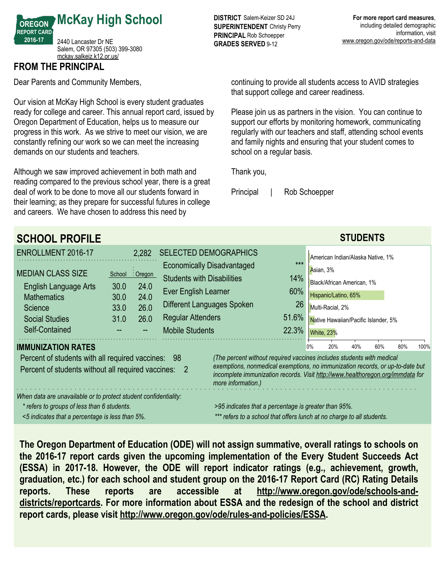

Salem, OR 97305 (503) 399-3080 <mckay.salkeiz.k12.or.us/>

## **FROM THE PRINCIPAL**

Dear Parents and Community Members,

Our vision at McKay High School is every student graduates ready for college and career. This annual report card, issued by Oregon Department of Education, helps us to measure our progress in this work. As we strive to meet our vision, we are constantly refining our work so we can meet the increasing demands on our students and teachers.

Although we saw improved achievement in both math and reading compared to the previous school year, there is a great deal of work to be done to move all our students forward in their learning; as they prepare for successful futures in college and careers. We have chosen to address this need by

**DISTRICT** Salem-Keizer SD 24J **SUPERINTENDENT** Christy Perry **PRINCIPAL** Rob Schoepper **GRADES SERVED** 9-12

continuing to provide all students access to AVID strategies that support college and career readiness.

Please join us as partners in the vision. You can continue to support our efforts by monitoring homework, communicating regularly with our teachers and staff, attending school events and family nights and ensuring that your student comes to school on a regular basis.

Thank you,

Principal | Rob Schoepper

| <b>SCHOOL PROFILE</b>                                                                                                       |                                                                                                                                                                                       |              |                                   |                                   |       |    |                                      | <b>STUDENTS</b> |     |     |      |
|-----------------------------------------------------------------------------------------------------------------------------|---------------------------------------------------------------------------------------------------------------------------------------------------------------------------------------|--------------|-----------------------------------|-----------------------------------|-------|----|--------------------------------------|-----------------|-----|-----|------|
| ENROLLMENT 2016-17                                                                                                          |                                                                                                                                                                                       | 2,282        | <b>SELECTED DEMOGRAPHICS</b>      |                                   |       |    | American Indian/Alaska Native, 1%    |                 |     |     |      |
|                                                                                                                             |                                                                                                                                                                                       |              |                                   | <b>Economically Disadvantaged</b> | $***$ |    | Asian, 3%                            |                 |     |     |      |
| <b>MEDIAN CLASS SIZE</b>                                                                                                    | School                                                                                                                                                                                | : Oregon     | <b>Students with Disabilities</b> |                                   | 14%   |    | Black/African American, 1%           |                 |     |     |      |
| <b>English Language Arts</b><br><b>Mathematics</b>                                                                          | 30.0<br>30.0                                                                                                                                                                          | 24.0<br>24.0 | Ever English Learner              |                                   | 60%   |    | Hispanic/Latino, 65%                 |                 |     |     |      |
| <b>Science</b>                                                                                                              | 33.0                                                                                                                                                                                  | 26.0         | Different Languages Spoken        |                                   | 26    |    | Multi-Racial, 2%                     |                 |     |     |      |
| <b>Social Studies</b>                                                                                                       | 31.0                                                                                                                                                                                  | 26.0         | <b>Regular Attenders</b>          |                                   | 51.6% |    | Native Hawaiian/Pacific Islander, 5% |                 |     |     |      |
| Self-Contained                                                                                                              |                                                                                                                                                                                       |              | <b>Mobile Students</b>            |                                   | 22.3% |    | <b>White, 23%</b>                    |                 |     |     |      |
| <b>IMMUNIZATION RATES</b>                                                                                                   |                                                                                                                                                                                       |              |                                   |                                   |       | 0% | 20%                                  | 40%             | 60% | 80% | 100% |
| (The percent without required vaccines includes students with medical<br>Percent of students with all required vaccines: 98 |                                                                                                                                                                                       |              |                                   |                                   |       |    |                                      |                 |     |     |      |
| Percent of students without all required vaccines:                                                                          | exemptions, nonmedical exemptions, no immunization records, or up-to-date but<br>incomplete immunization records. Visit http://www.healthoregon.org/immdata for<br>more information.) |              |                                   |                                   |       |    |                                      |                 |     |     |      |
| When data are unavailable or to protect student confidentiality:                                                            |                                                                                                                                                                                       |              |                                   |                                   |       |    |                                      |                 |     |     |      |
| * refers to groups of less than 6 students.                                                                                 | >95 indicates that a percentage is greater than 95%.                                                                                                                                  |              |                                   |                                   |       |    |                                      |                 |     |     |      |
| <5 indicates that a percentage is less than 5%.                                                                             | *** refers to a school that offers lunch at no charge to all students.                                                                                                                |              |                                   |                                   |       |    |                                      |                 |     |     |      |

**The Oregon Department of Education (ODE) will not assign summative, overall ratings to schools on the 2016-17 report cards given the upcoming implementation of the Every Student Succeeds Act (ESSA) in 2017-18. However, the ODE will report indicator ratings (e.g., achievement, growth, graduation, etc.) for each school and student group on the 2016-17 Report Card (RC) Rating Details reports. These reports are accessible at http://www.oregon.gov/ode/schools-anddistricts/reportcards. For more information about ESSA and the redesign of the school and district report cards, please visit http://www.oregon.gov/ode/rules-and-policies/ESSA.**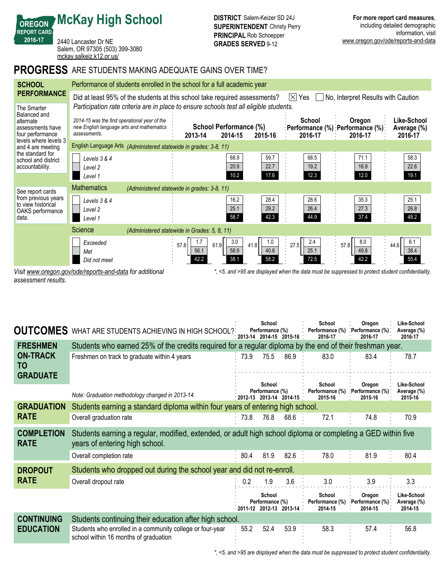**REPORT CARD** 2440 Lancaster Dr NE Salem, OR 97305 (503) 399-3080 <mckay.salkeiz.k12.or.us/>

**McKay High School**

## **PROGRESS** ARE STUDENTS MAKING ADEQUATE GAINS OVER TIME?

| <b>SCHOOL</b>                                                                    | Performance of students enrolled in the school for a full academic year                                                               |                                              |                                   |                             |                             |                                                                                                   |                                       |  |  |
|----------------------------------------------------------------------------------|---------------------------------------------------------------------------------------------------------------------------------------|----------------------------------------------|-----------------------------------|-----------------------------|-----------------------------|---------------------------------------------------------------------------------------------------|---------------------------------------|--|--|
| <b>PERFORMANCE</b>                                                               | $ \times $<br>Did at least 95% of the students at this school take required assessments?<br>No, Interpret Results with Caution<br>Yes |                                              |                                   |                             |                             |                                                                                                   |                                       |  |  |
| The Smarter<br>Balanced and<br>alternate<br>assessments have<br>four performance | Participation rate criteria are in place to ensure schools test all eligible students.                                                |                                              |                                   |                             |                             |                                                                                                   |                                       |  |  |
|                                                                                  | 2014-15 was the first operational year of the<br>new English language arts and mathematics<br>assessments.                            | 2013-14                                      | School Performance (%)<br>2014-15 | 2015-16                     | School<br>2016-17           | Oregon<br>:Performance (%) :Performance (%):<br>2016-17                                           | Like-School<br>Average (%)<br>2016-17 |  |  |
| levels where levels 3<br>and 4 are meeting                                       | English Language Arts (Administered statewide in grades: 3-8, 11)                                                                     |                                              |                                   |                             |                             |                                                                                                   |                                       |  |  |
| the standard for<br>school and district<br>accountability.                       | Levels 3 & 4<br>Level 2<br>Level 1                                                                                                    |                                              | 68.9<br>20.9<br>10.2              | 59.7<br>22.7<br>17.6        | 68.5<br>19.2<br>12.3        | 71.1<br>16.9<br>12.0                                                                              | 58.3<br>22.6<br>19.1                  |  |  |
| See report cards                                                                 | <b>Mathematics</b>                                                                                                                    | (Administered statewide in grades: 3-8, 11)  |                                   |                             |                             |                                                                                                   |                                       |  |  |
| from previous years<br>to view historical<br>OAKS performance<br>data.           | Levels 3 & 4<br>Level 2<br>Level 1                                                                                                    |                                              | 16.2<br>25.1<br>58.7              | 28.4<br>29.2<br>42.3        | 28.6<br>26.4<br>44.9        | 35.3<br>27.3<br>37.4                                                                              | 25.1<br>26.8<br>48.2                  |  |  |
|                                                                                  | Science                                                                                                                               | (Administered statewide in Grades: 5, 8, 11) |                                   |                             |                             |                                                                                                   |                                       |  |  |
|                                                                                  | Exceeded<br>Met<br>Did not meet                                                                                                       | 1.7<br>57.8<br>56.1<br>42.2                  | 3.0<br>61.9<br>58.9<br>38.1       | 1.0<br>41.8<br>40.8<br>58.2 | 2.4<br>27.5<br>25.1<br>72.5 | 8.0<br>57.8<br>49.8<br>42.2                                                                       | 6.1<br>44.6<br>38.4<br>55.4           |  |  |
|                                                                                  | Visit www.oregon.gov/ode/reports-and-data for additional                                                                              |                                              |                                   |                             |                             | *, <5, and >95 are displayed when the data must be suppressed to protect student confidentiality. |                                       |  |  |

*assessment results.*

**OREGON**

**2016-17**

| <b>OUTCOMES</b>                  | WHAT ARE STUDENTS ACHIEVING IN HIGH SCHOOL?                                                                                                    |      | School<br>Performance (%)<br>2013-14 2014-15 2015-16       |      | School<br>Performance (%)<br>2016-17 | Oregon<br>. Performance (%).<br>2016-17 | Like-School<br>Average (%)<br>2016 17 |  |  |  |
|----------------------------------|------------------------------------------------------------------------------------------------------------------------------------------------|------|------------------------------------------------------------|------|--------------------------------------|-----------------------------------------|---------------------------------------|--|--|--|
| <b>FRESHMEN</b>                  | Students who earned 25% of the credits required for a regular diploma by the end of their freshman year.                                       |      |                                                            |      |                                      |                                         |                                       |  |  |  |
| <b>ON-TRACK</b><br>TO            | Freshmen on track to graduate within 4 years                                                                                                   | 73.9 | 75.5                                                       | 86.9 | 83.0                                 | 83.4                                    | 78.7                                  |  |  |  |
| <b>GRADUATE</b>                  |                                                                                                                                                |      | School                                                     |      | School                               | Oregon                                  | Like-School                           |  |  |  |
|                                  | Note: Graduation methodology changed in 2013-14.                                                                                               |      | Performance (%)<br>$\cdot$ 2012-13 2013-14 2014-15 $\cdot$ |      | Performance (%)<br>2015-16           | Performance (%)<br>2015-16              | Average (%)<br>2015-16                |  |  |  |
| <b>GRADUATION</b>                | Students earning a standard diploma within four years of entering high school.                                                                 |      |                                                            |      |                                      |                                         |                                       |  |  |  |
| <b>RATE</b>                      | Overall graduation rate                                                                                                                        | 73.8 | 76.8                                                       | 68.6 | 72.1                                 | 74.8                                    | 70.9                                  |  |  |  |
| <b>COMPLETION</b><br><b>RATE</b> | Students earning a regular, modified, extended, or adult high school diploma or completing a GED within five<br>years of entering high school. |      |                                                            |      |                                      |                                         |                                       |  |  |  |
|                                  | Overall completion rate                                                                                                                        | 80.4 | 81.9                                                       | 82.6 | 78.0                                 | 81.9                                    | 80.4                                  |  |  |  |
| <b>DROPOUT</b>                   | Students who dropped out during the school year and did not re-enroll.                                                                         |      |                                                            |      |                                      |                                         |                                       |  |  |  |
| <b>RATE</b>                      | Overall dropout rate                                                                                                                           | 0.2  | 1.9                                                        | 3.6  | 3.0                                  | 3.9                                     | 3.3                                   |  |  |  |
|                                  |                                                                                                                                                |      | School<br>Performance (%)<br>2011 12 2012 13 2013 14       |      | School<br>Performance (%)<br>2014-15 | Oregon<br>Performance (%)<br>2014-15    | Like-School<br>Average (%)<br>2014-15 |  |  |  |
| <b>CONTINUING</b>                | Students continuing their education after high school.                                                                                         |      |                                                            |      |                                      |                                         |                                       |  |  |  |
| <b>EDUCATION</b>                 | Students who enrolled in a community college or four-year<br>school within 16 months of graduation                                             | 55.2 | 52.4                                                       | 53.9 | 58.3                                 | 57.4                                    | 56.8                                  |  |  |  |

*\*, <5, and >95 are displayed when the data must be suppressed to protect student confidentiality.*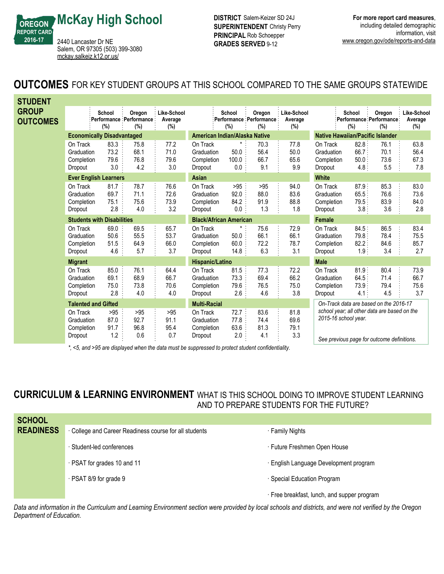**OREGON McKay High School**

> Salem, OR 97305 (503) 399-3080 <mckay.salkeiz.k12.or.us/>

2440 Lancaster Dr NE

**REPORT CARD 2016-17**

**DISTRICT** Salem-Keizer SD 24J **SUPERINTENDENT** Christy Perry **PRINCIPAL** Rob Schoepper **GRADES SERVED** 9-12

**OUTCOMES** FOR KEY STUDENT GROUPS AT THIS SCHOOL COMPARED TO THE SAME GROUPS STATEWIDE

| <b>STUDENT</b>                    |                                                 |                                   |                                              |                               |                                                 |                                          |                                        |                                  |                                                                                                                   |                                 |                                           |                               |
|-----------------------------------|-------------------------------------------------|-----------------------------------|----------------------------------------------|-------------------------------|-------------------------------------------------|------------------------------------------|----------------------------------------|----------------------------------|-------------------------------------------------------------------------------------------------------------------|---------------------------------|-------------------------------------------|-------------------------------|
| <b>GROUP</b><br><b>OUTCOMES</b>   |                                                 | School<br>(%)                     | Oregon<br>Performance : Performance :<br>(%) | Like-School<br>Average<br>(%) |                                                 | School<br>Performance Performance<br>(%) | Oregon<br>(%)                          | Like-School<br>Average<br>$(\%)$ |                                                                                                                   | School<br>(%)                   | Oregon<br>Performance Performance:<br>(%) | Like-School<br>Average<br>(%) |
|                                   |                                                 | <b>Economically Disadvantaged</b> |                                              |                               |                                                 | American Indian/Alaska Native            |                                        |                                  | <b>Native Hawaiian/Pacific Islander</b>                                                                           |                                 |                                           |                               |
|                                   | On Track<br>Graduation<br>Completion<br>Dropout | 83.3<br>73.2<br>79.6<br>3.0       | 75.8<br>68.1<br>76.8<br>4.2                  | 77.2<br>71.0<br>79.6<br>3.0   | On Track<br>Graduation<br>Completion<br>Dropout | $\star$<br>50.0<br>100.0<br>$0.0\,$      | 70.3<br>56.4<br>66.7<br>9.1            | 77.8<br>50.0<br>65.6<br>9.9      | On Track<br>Graduation<br>Completion<br>Dropout                                                                   | 82.8<br>66.7<br>50.0<br>4.8:    | 76.1<br>70.1<br>73.6<br>5.5               | 63.8<br>56.4<br>67.3<br>7.8   |
|                                   |                                                 | <b>Ever English Learners</b>      |                                              |                               | Asian                                           |                                          |                                        |                                  | <b>White</b>                                                                                                      |                                 |                                           |                               |
|                                   | On Track<br>Graduation<br>Completion<br>Dropout | 81.7<br>69.7<br>75.1<br>2.8       | 78.7<br>71.1<br>75.6<br>4.0                  | 76.6<br>72.6<br>73.9<br>3.2   | On Track<br>Graduation<br>Completion<br>Dropout | >95<br>92.0<br>84.2<br>0.0               | >95<br>88.0<br>91.9<br>1.3             | 94.0<br>83.6<br>88.8<br>1.8      | On Track<br>Graduation<br>Completion<br>Dropout                                                                   | 87.9:<br>65.5:<br>79.5:<br>3.8: | 85.3<br>76.6<br>83.9<br>3.6               | 83.0<br>73.6<br>84.0<br>2.8   |
| <b>Students with Disabilities</b> |                                                 |                                   |                                              |                               | <b>Black/African American</b>                   |                                          |                                        | <b>Female</b>                    |                                                                                                                   |                                 |                                           |                               |
|                                   | On Track<br>Graduation<br>Completion<br>Dropout | 69.0<br>50.6<br>51.5<br>4.6       | 69.5<br>55.5<br>64.9<br>5.7                  | 65.7<br>53.7<br>66.0<br>3.7   | On Track<br>Graduation<br>Completion<br>Dropout | *<br>50.0<br>60.0<br>14.8                | 75.6<br>66.1<br>72.2<br>6.3            | 72.9<br>66.1<br>78.7<br>3.1      | On Track<br>Graduation<br>Completion<br>Dropout                                                                   | 84.5:<br>79.8:<br>82.2:<br>1.9  | 86.5<br>78.4<br>84.6<br>3.4               | 83.4<br>75.5<br>85.7<br>2.7   |
|                                   | <b>Migrant</b>                                  |                                   |                                              |                               | Hispanic/Latino                                 |                                          |                                        |                                  | <b>Male</b>                                                                                                       |                                 |                                           |                               |
|                                   | On Track<br>Graduation<br>Completion<br>Dropout | 85.0<br>69.1<br>75.0<br>2.8       | 76.1<br>68.9<br>73.8<br>4.0                  | 64.4<br>66.7<br>70.6<br>4.0   | On Track<br>Graduation<br>Completion<br>Dropout | 81.5<br>73.3<br>79.6<br>2.6:             | 77.3<br>69.4<br>76.5<br>4.6            | 72.2<br>66.2<br>75.0<br>3.8      | On Track<br>Graduation<br>Completion<br>Dropout                                                                   | 81.9:<br>64.5.<br>73.9:<br>4.1: | 80.4<br>71.4<br>79.4<br>4.5               | 73.9<br>66.7<br>75.6<br>3.7   |
| <b>Talented and Gifted</b>        |                                                 |                                   | <b>Multi-Racial</b>                          |                               |                                                 |                                          | On-Track data are based on the 2016-17 |                                  |                                                                                                                   |                                 |                                           |                               |
|                                   | On Track<br>Graduation<br>Completion<br>Dropout | >95<br>87.0<br>91.7<br>1.2        | >95<br>92.7<br>96.8<br>0.6                   | >95<br>91.1<br>95.4<br>0.7    | On Track<br>Graduation<br>Completion<br>Dropout | 72.7<br>77.8<br>63.6<br>2.0              | 83.6<br>74.4<br>81.3<br>4.1            | 81.8<br>69.6<br>79.1<br>3.3      | school year; all other data are based on the<br>2015-16 school year.<br>Cae provieus nogo for outcome definitions |                                 |                                           |                               |

*\*, <5, and >95 are displayed when the data must be suppressed to protect student confidentiality.*

*See previous page for outcome definitions.*

**CURRICULUM & LEARNING ENVIRONMENT** WHAT IS THIS SCHOOL DOING TO IMPROVE STUDENT LEARNING AND TO PREPARE STUDENTS FOR THE FUTURE?

| <b>SCHOOL</b>    |                                                      |                                             |
|------------------|------------------------------------------------------|---------------------------------------------|
| <b>READINESS</b> | College and Career Readiness course for all students | <b>Family Nights</b>                        |
|                  | · Student-led conferences                            | · Future Freshmen Open House                |
|                  | · PSAT for grades 10 and 11                          | · English Language Development program      |
|                  | · PSAT 8/9 for grade 9                               | · Special Education Program                 |
|                  |                                                      | · Free breakfast, lunch, and supper program |

*Data and information in the Curriculum and Learning Environment section were provided by local schools and districts, and were not verified by the Oregon Department of Education.*